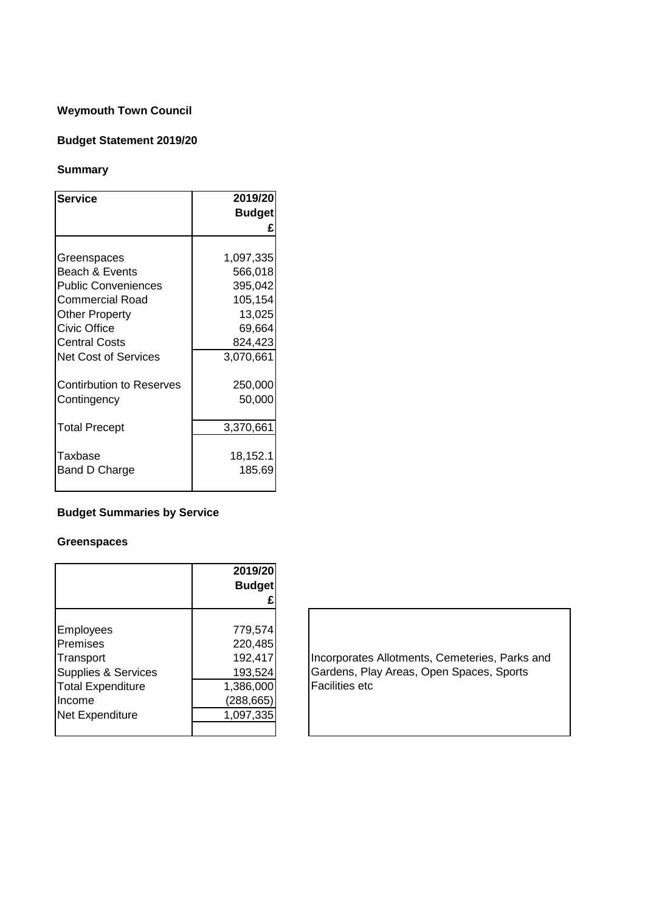## **Weymouth Town Council**

# **Budget Statement 2019/20**

## **Summary**

| <b>Service</b>                  | 2019/20       |
|---------------------------------|---------------|
|                                 | <b>Budget</b> |
|                                 | £             |
|                                 |               |
| Greenspaces                     | 1,097,335     |
| Beach & Events                  | 566,018       |
| <b>Public Conveniences</b>      | 395,042       |
| Commercial Road                 | 105,154       |
| <b>Other Property</b>           | 13,025        |
| <b>Civic Office</b>             | 69,664        |
| <b>Central Costs</b>            | 824,423       |
| Net Cost of Services            | 3,070,661     |
| <b>Contirbution to Reserves</b> | 250,000       |
| Contingency                     | 50,000        |
| <b>Total Precept</b>            | 3,370,661     |
| Taxbase                         | 18,152.1      |
| Band D Charge                   | 185.69        |
|                                 |               |

## **Budget Summaries by Service**

### **Greenspaces**

|                          | 2019/20       |
|--------------------------|---------------|
|                          | <b>Budget</b> |
|                          |               |
|                          |               |
| <b>Employees</b>         | 779,574       |
| Premises                 | 220,485       |
| Transport                | 192,417       |
| Supplies & Services      | 193,524       |
| <b>Total Expenditure</b> | 1,386,000     |
| Income                   | (288, 665)    |
| Net Expenditure          | 1,097,335     |
|                          |               |

Incorporates Allotments, Cemeteries, Parks and Gardens, Play Areas, Open Spaces, Sports Facilities etc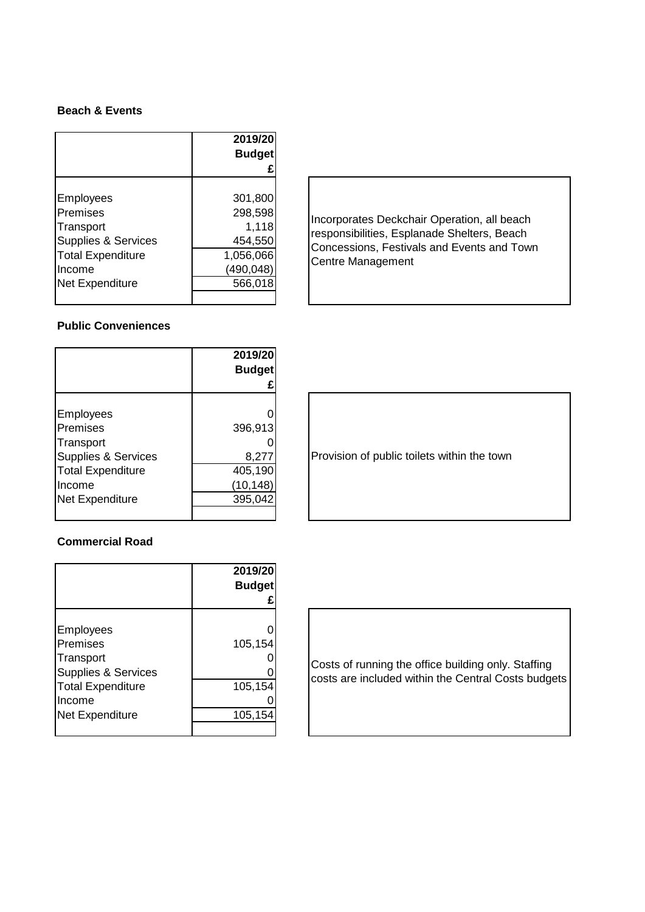#### **Beach & Events**

|                          | 2019/20       |
|--------------------------|---------------|
|                          | <b>Budget</b> |
|                          |               |
|                          |               |
| <b>Employees</b>         | 301,800       |
| Premises                 | 298,598       |
| Transport                | 1,118         |
| Supplies & Services      | 454,550       |
| <b>Total Expenditure</b> | 1,056,066     |
| Income                   | (490, 048)    |
| Net Expenditure          | 566,018       |
|                          |               |

Incorporates Deckchair Operation, all beach responsibilities, Esplanade Shelters, Beach Concessions, Festivals and Events and Town Centre Management

## **Public Conveniences**

|                          | 2019/20       |
|--------------------------|---------------|
|                          | <b>Budget</b> |
|                          | £             |
|                          |               |
| <b>Employees</b>         |               |
| Premises                 | 396,913       |
| Transport                |               |
| Supplies & Services      | 8,277         |
| <b>Total Expenditure</b> | 405,190       |
| Income                   | (10, 148)     |
| <b>Net Expenditure</b>   | 395,042       |
|                          |               |

| Provision of public toilets within the town |
|---------------------------------------------|
|---------------------------------------------|

### **Commercial Road**

|                                | 2019/20       |
|--------------------------------|---------------|
|                                | <b>Budget</b> |
|                                | £             |
|                                |               |
| <b>Employees</b>               |               |
| Premises                       | 105,154       |
| Transport                      |               |
| <b>Supplies &amp; Services</b> |               |
| <b>Total Expenditure</b>       | 105,154       |
| Income                         |               |
| Net Expenditure                | 105,154       |
|                                |               |